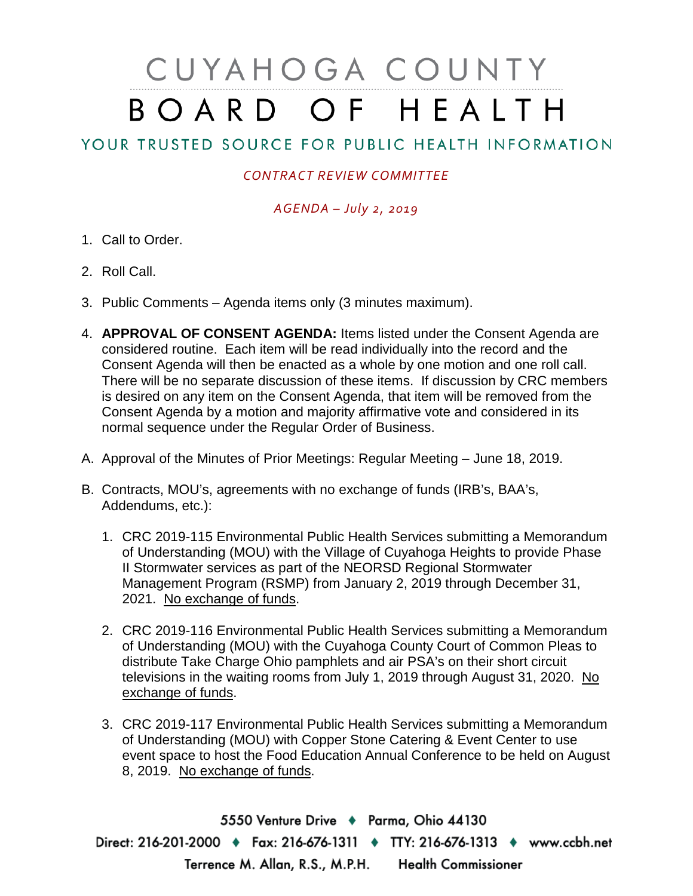# CUYAHOGA COUNTY BOARD OF HEALTH

## YOUR TRUSTED SOURCE FOR PUBLIC HEALTH INFORMATION

### *CONTRACT REVIEW COMMITTEE*

#### *AGENDA – July 2, 2019*

- 1. Call to Order.
- 2. Roll Call.
- 3. Public Comments Agenda items only (3 minutes maximum).
- 4. **APPROVAL OF CONSENT AGENDA:** Items listed under the Consent Agenda are considered routine. Each item will be read individually into the record and the Consent Agenda will then be enacted as a whole by one motion and one roll call. There will be no separate discussion of these items. If discussion by CRC members is desired on any item on the Consent Agenda, that item will be removed from the Consent Agenda by a motion and majority affirmative vote and considered in its normal sequence under the Regular Order of Business.
- A. Approval of the Minutes of Prior Meetings: Regular Meeting June 18, 2019.
- B. Contracts, MOU's, agreements with no exchange of funds (IRB's, BAA's, Addendums, etc.):
	- 1. CRC 2019-115 Environmental Public Health Services submitting a Memorandum of Understanding (MOU) with the Village of Cuyahoga Heights to provide Phase II Stormwater services as part of the NEORSD Regional Stormwater Management Program (RSMP) from January 2, 2019 through December 31, 2021. No exchange of funds.
	- 2. CRC 2019-116 Environmental Public Health Services submitting a Memorandum of Understanding (MOU) with the Cuyahoga County Court of Common Pleas to distribute Take Charge Ohio pamphlets and air PSA's on their short circuit televisions in the waiting rooms from July 1, 2019 through August 31, 2020. No exchange of funds.
	- 3. CRC 2019-117 Environmental Public Health Services submitting a Memorandum of Understanding (MOU) with Copper Stone Catering & Event Center to use event space to host the Food Education Annual Conference to be held on August 8, 2019. No exchange of funds.

5550 Venture Drive + Parma, Ohio 44130 Direct: 216-201-2000 • Fax: 216-676-1311 • TTY: 216-676-1313 • www.ccbh.net Terrence M. Allan, R.S., M.P.H. Health Commissioner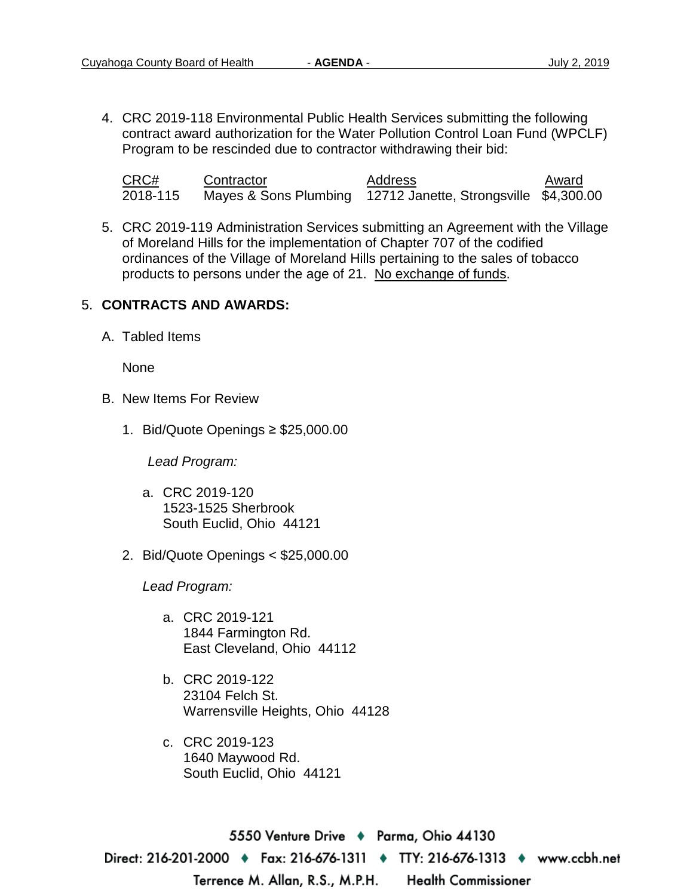4. CRC 2019-118 Environmental Public Health Services submitting the following contract award authorization for the Water Pollution Control Loan Fund (WPCLF) Program to be rescinded due to contractor withdrawing their bid:

| CRC#     | Contractor | Address                                                      | Award |
|----------|------------|--------------------------------------------------------------|-------|
| 2018-115 |            | Mayes & Sons Plumbing 12712 Janette, Strongsville \$4,300.00 |       |

5. CRC 2019-119 Administration Services submitting an Agreement with the Village of Moreland Hills for the implementation of Chapter 707 of the codified ordinances of the Village of Moreland Hills pertaining to the sales of tobacco products to persons under the age of 21. No exchange of funds.

#### 5. **CONTRACTS AND AWARDS:**

A. Tabled Items

None

- B. New Items For Review
	- 1. Bid/Quote Openings ≥ \$25,000.00

*Lead Program:*

- a. CRC 2019-120 1523-1525 Sherbrook South Euclid, Ohio 44121
- 2. Bid/Quote Openings < \$25,000.00

*Lead Program:*

- a. CRC 2019-121 1844 Farmington Rd. East Cleveland, Ohio 44112
- b. CRC 2019-122 23104 Felch St. Warrensville Heights, Ohio 44128
- c. CRC 2019-123 1640 Maywood Rd. South Euclid, Ohio 44121

5550 Venture Drive ♦ Parma, Ohio 44130 Direct: 216-201-2000 • Fax: 216-676-1311 • TTY: 216-676-1313 • www.ccbh.net Terrence M. Allan, R.S., M.P.H. **Health Commissioner**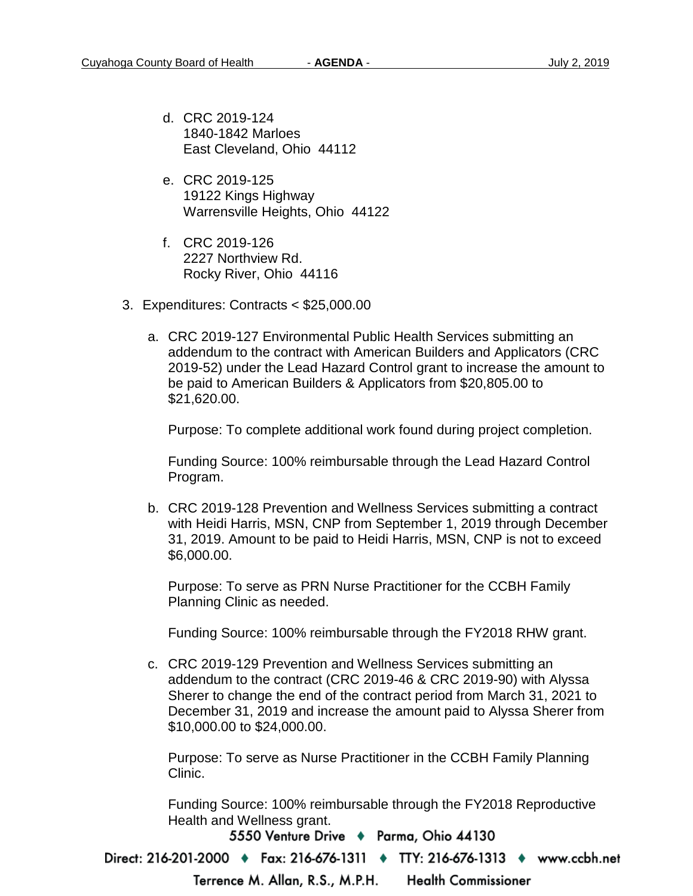- d. CRC 2019-124 1840-1842 Marloes East Cleveland, Ohio 44112
- e. CRC 2019-125 19122 Kings Highway Warrensville Heights, Ohio 44122
- f. CRC 2019-126 2227 Northview Rd. Rocky River, Ohio 44116
- 3. Expenditures: Contracts < \$25,000.00
	- a. CRC 2019-127 Environmental Public Health Services submitting an addendum to the contract with American Builders and Applicators (CRC 2019-52) under the Lead Hazard Control grant to increase the amount to be paid to American Builders & Applicators from \$20,805.00 to \$21,620.00.

Purpose: To complete additional work found during project completion.

Funding Source: 100% reimbursable through the Lead Hazard Control Program.

b. CRC 2019-128 Prevention and Wellness Services submitting a contract with Heidi Harris, MSN, CNP from September 1, 2019 through December 31, 2019. Amount to be paid to Heidi Harris, MSN, CNP is not to exceed \$6,000.00.

Purpose: To serve as PRN Nurse Practitioner for the CCBH Family Planning Clinic as needed.

Funding Source: 100% reimbursable through the FY2018 RHW grant.

c. CRC 2019-129 Prevention and Wellness Services submitting an addendum to the contract (CRC 2019-46 & CRC 2019-90) with Alyssa Sherer to change the end of the contract period from March 31, 2021 to December 31, 2019 and increase the amount paid to Alyssa Sherer from \$10,000.00 to \$24,000.00.

Purpose: To serve as Nurse Practitioner in the CCBH Family Planning Clinic.

Funding Source: 100% reimbursable through the FY2018 Reproductive Health and Wellness grant.

5550 Venture Drive + Parma, Ohio 44130

Direct: 216-201-2000 • Fax: 216-676-1311 • TTY: 216-676-1313 • www.ccbh.net

Terrence M. Allan, R.S., M.P.H.

**Health Commissioner**